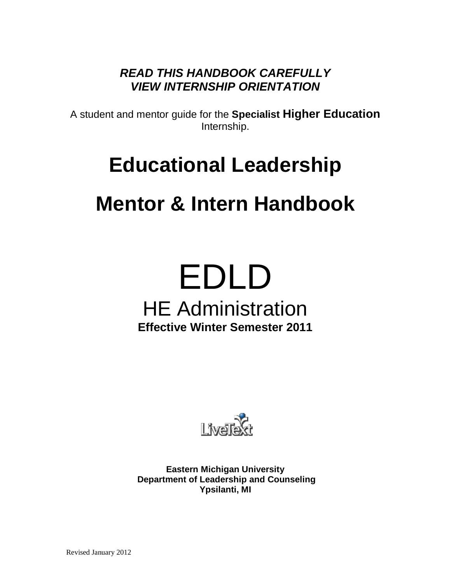*READ THIS HANDBOOK CAREFULLY VIEW INTERNSHIP ORIENTATION*

A student and mentor guide for the **Specialist Higher Education** Internship.

## **Educational Leadership**

## **Mentor & Intern Handbook**

# EDLD HE Administration **Effective Winter Semester 2011**



**Eastern Michigan University Department of Leadership and Counseling Ypsilanti, MI**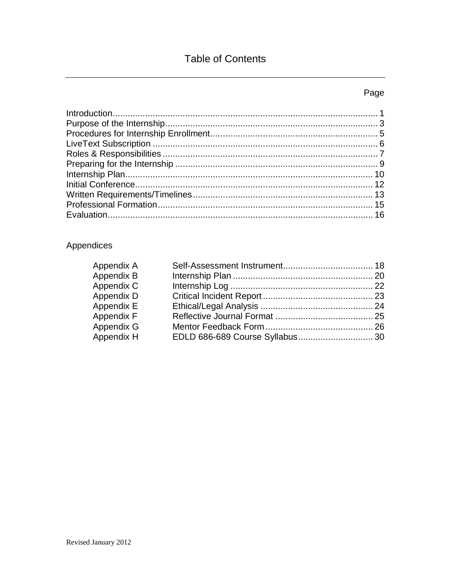## **Table of Contents**

## Page

## Appendices

| Appendix A |  |
|------------|--|
| Appendix B |  |
| Appendix C |  |
| Appendix D |  |
| Appendix E |  |
| Appendix F |  |
| Appendix G |  |
| Appendix H |  |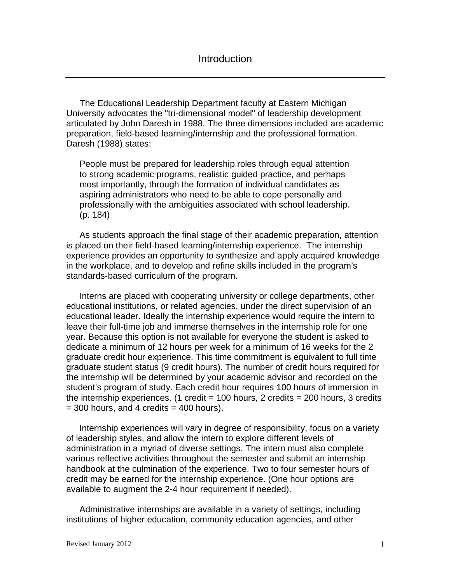The Educational Leadership Department faculty at Eastern Michigan University advocates the "tri-dimensional model" of leadership development articulated by John Daresh in 1988. The three dimensions included are academic preparation, field-based learning/internship and the professional formation. Daresh (1988) states:

People must be prepared for leadership roles through equal attention to strong academic programs, realistic guided practice, and perhaps most importantly, through the formation of individual candidates as aspiring administrators who need to be able to cope personally and professionally with the ambiguities associated with school leadership. (p. 184)

As students approach the final stage of their academic preparation, attention is placed on their field-based learning/internship experience. The internship experience provides an opportunity to synthesize and apply acquired knowledge in the workplace, and to develop and refine skills included in the program's standards-based curriculum of the program.

Interns are placed with cooperating university or college departments, other educational institutions, or related agencies, under the direct supervision of an educational leader. Ideally the internship experience would require the intern to leave their full-time job and immerse themselves in the internship role for one year. Because this option is not available for everyone the student is asked to dedicate a minimum of 12 hours per week for a minimum of 16 weeks for the 2 graduate credit hour experience. This time commitment is equivalent to full time graduate student status (9 credit hours). The number of credit hours required for the internship will be determined by your academic advisor and recorded on the student's program of study. Each credit hour requires 100 hours of immersion in the internship experiences. (1 credit =  $100$  hours, 2 credits =  $200$  hours, 3 credits  $=$  300 hours, and 4 credits  $=$  400 hours).

Internship experiences will vary in degree of responsibility, focus on a variety of leadership styles, and allow the intern to explore different levels of administration in a myriad of diverse settings. The intern must also complete various reflective activities throughout the semester and submit an internship handbook at the culmination of the experience. Two to four semester hours of credit may be earned for the internship experience. (One hour options are available to augment the 2-4 hour requirement if needed).

Administrative internships are available in a variety of settings, including institutions of higher education, community education agencies, and other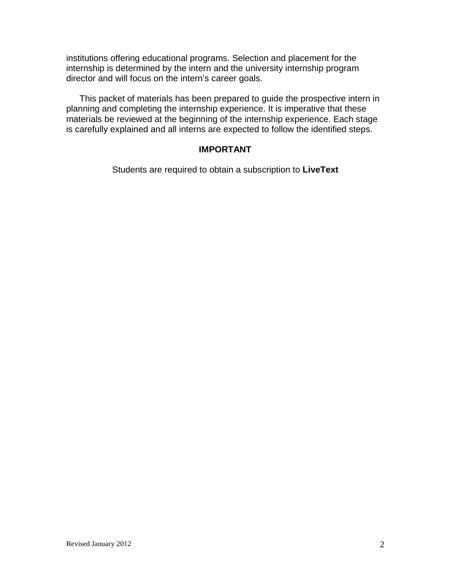institutions offering educational programs. Selection and placement for the internship is determined by the intern and the university internship program director and will focus on the intern's career goals.

This packet of materials has been prepared to guide the prospective intern in planning and completing the internship experience. It is imperative that these materials be reviewed at the beginning of the internship experience. Each stage is carefully explained and all interns are expected to follow the identified steps.

#### **IMPORTANT**

Students are required to obtain a subscription to **LiveText**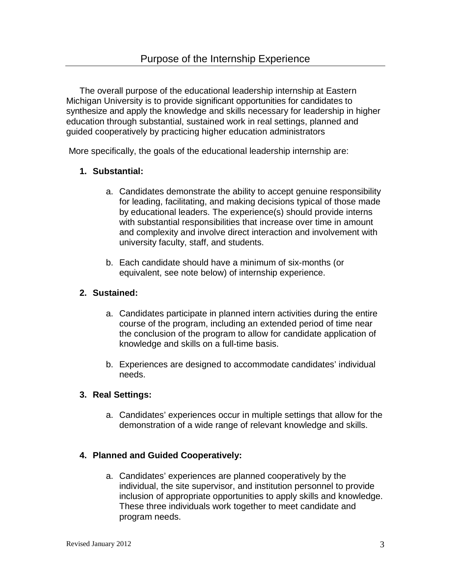The overall purpose of the educational leadership internship at Eastern Michigan University is to provide significant opportunities for candidates to synthesize and apply the knowledge and skills necessary for leadership in higher education through substantial, sustained work in real settings, planned and guided cooperatively by practicing higher education administrators

More specifically, the goals of the educational leadership internship are:

#### **1. Substantial:**

- a. Candidates demonstrate the ability to accept genuine responsibility for leading, facilitating, and making decisions typical of those made by educational leaders. The experience(s) should provide interns with substantial responsibilities that increase over time in amount and complexity and involve direct interaction and involvement with university faculty, staff, and students.
- b. Each candidate should have a minimum of six-months (or equivalent, see note below) of internship experience.

#### **2. Sustained:**

- a. Candidates participate in planned intern activities during the entire course of the program, including an extended period of time near the conclusion of the program to allow for candidate application of knowledge and skills on a full-time basis.
- b. Experiences are designed to accommodate candidates' individual needs.

#### **3. Real Settings:**

a. Candidates' experiences occur in multiple settings that allow for the demonstration of a wide range of relevant knowledge and skills.

#### **4. Planned and Guided Cooperatively:**

a. Candidates' experiences are planned cooperatively by the individual, the site supervisor, and institution personnel to provide inclusion of appropriate opportunities to apply skills and knowledge. These three individuals work together to meet candidate and program needs.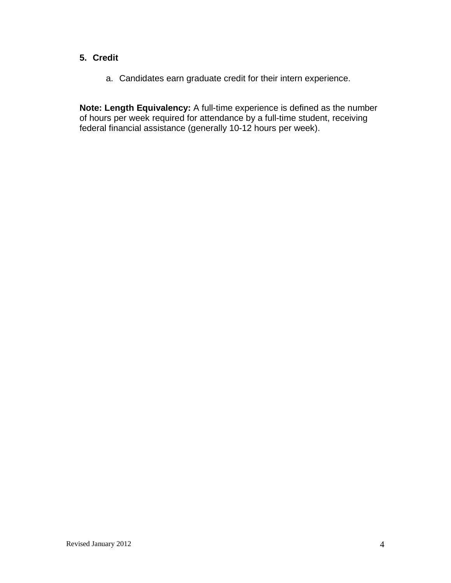#### **5. Credit**

a. Candidates earn graduate credit for their intern experience.

**Note: Length Equivalency:** A full-time experience is defined as the number of hours per week required for attendance by a full-time student, receiving federal financial assistance (generally 10-12 hours per week).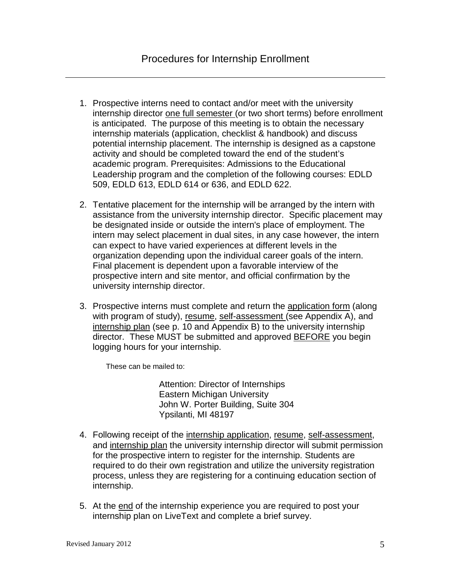- 1. Prospective interns need to contact and/or meet with the university internship director one full semester (or two short terms) before enrollment is anticipated. The purpose of this meeting is to obtain the necessary internship materials (application, checklist & handbook) and discuss potential internship placement. The internship is designed as a capstone activity and should be completed toward the end of the student's academic program. Prerequisites: Admissions to the Educational Leadership program and the completion of the following courses: EDLD 509, EDLD 613, EDLD 614 or 636, and EDLD 622.
- 2. Tentative placement for the internship will be arranged by the intern with assistance from the university internship director. Specific placement may be designated inside or outside the intern's place of employment. The intern may select placement in dual sites, in any case however, the intern can expect to have varied experiences at different levels in the organization depending upon the individual career goals of the intern. Final placement is dependent upon a favorable interview of the prospective intern and site mentor, and official confirmation by the university internship director.
- 3. Prospective interns must complete and return the application form (along with program of study), resume, self-assessment (see Appendix A), and internship plan (see p. 10 and Appendix B) to the university internship director. These MUST be submitted and approved BEFORE you begin logging hours for your internship.

These can be mailed to:

Attention: Director of Internships Eastern Michigan University John W. Porter Building, Suite 304 Ypsilanti, MI 48197

- 4. Following receipt of the internship application, resume, self-assessment, and internship plan the university internship director will submit permission for the prospective intern to register for the internship. Students are required to do their own registration and utilize the university registration process, unless they are registering for a continuing education section of internship.
- 5. At the end of the internship experience you are required to post your internship plan on LiveText and complete a brief survey.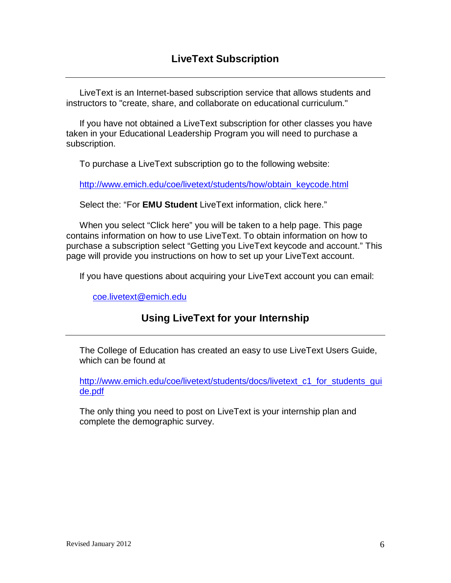LiveText is an Internet-based subscription service that allows students and instructors to "create, share, and collaborate on educational curriculum."

If you have not obtained a LiveText subscription for other classes you have taken in your Educational Leadership Program you will need to purchase a subscription.

To purchase a LiveText subscription go to the following website:

[http://www.emich.edu/coe/livetext/students/how/obtain\\_keycode.html](http://www.emich.edu/coe/livetext/students/how/obtain_keycode.html)

Select the: "For **EMU Student** LiveText information, click here."

When you select "Click here" you will be taken to a help page. This page contains information on how to use LiveText. To obtain information on how to purchase a subscription select "Getting you LiveText keycode and account." This page will provide you instructions on how to set up your LiveText account.

If you have questions about acquiring your LiveText account you can email:

[coe.livetext@emich.edu](mailto:coe.livetext@emich.edu)

## **Using LiveText for your Internship**

The College of Education has created an easy to use LiveText Users Guide, which can be found at

[http://www.emich.edu/coe/livetext/students/docs/livetext\\_c1\\_for\\_students\\_gui](http://www.emich.edu/coe/livetext/students/docs/livetext_c1_for_students_guide.pdf) [de.pdf](http://www.emich.edu/coe/livetext/students/docs/livetext_c1_for_students_guide.pdf)

The only thing you need to post on LiveText is your internship plan and complete the demographic survey.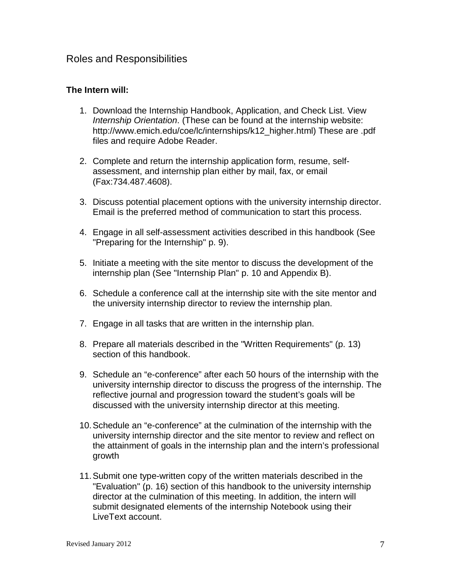#### Roles and Responsibilities

#### **The Intern will:**

- 1. Download the Internship Handbook, Application, and Check List. View *Internship Orientation*. (These can be found at the internship website: http://www.emich.edu/coe/lc/internships/k12\_higher.html) These are .pdf files and require Adobe Reader.
- 2. Complete and return the internship application form, resume, selfassessment, and internship plan either by mail, fax, or email (Fax:734.487.4608).
- 3. Discuss potential placement options with the university internship director. Email is the preferred method of communication to start this process.
- 4. Engage in all self-assessment activities described in this handbook (See "Preparing for the Internship" p. 9).
- 5. Initiate a meeting with the site mentor to discuss the development of the internship plan (See "Internship Plan" p. 10 and Appendix B).
- 6. Schedule a conference call at the internship site with the site mentor and the university internship director to review the internship plan.
- 7. Engage in all tasks that are written in the internship plan.
- 8. Prepare all materials described in the "Written Requirements" (p. 13) section of this handbook.
- 9. Schedule an "e-conference" after each 50 hours of the internship with the university internship director to discuss the progress of the internship. The reflective journal and progression toward the student's goals will be discussed with the university internship director at this meeting.
- 10.Schedule an "e-conference" at the culmination of the internship with the university internship director and the site mentor to review and reflect on the attainment of goals in the internship plan and the intern's professional growth
- 11.Submit one type-written copy of the written materials described in the "Evaluation" (p. 16) section of this handbook to the university internship director at the culmination of this meeting. In addition, the intern will submit designated elements of the internship Notebook using their LiveText account.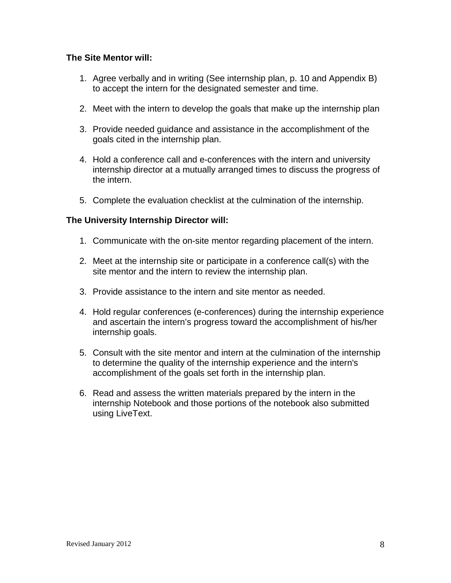#### **The Site Mentor will:**

- 1. Agree verbally and in writing (See internship plan, p. 10 and Appendix B) to accept the intern for the designated semester and time.
- 2. Meet with the intern to develop the goals that make up the internship plan
- 3. Provide needed guidance and assistance in the accomplishment of the goals cited in the internship plan.
- 4. Hold a conference call and e-conferences with the intern and university internship director at a mutually arranged times to discuss the progress of the intern.
- 5. Complete the evaluation checklist at the culmination of the internship.

#### **The University Internship Director will:**

- 1. Communicate with the on-site mentor regarding placement of the intern.
- 2. Meet at the internship site or participate in a conference call(s) with the site mentor and the intern to review the internship plan.
- 3. Provide assistance to the intern and site mentor as needed.
- 4. Hold regular conferences (e-conferences) during the internship experience and ascertain the intern's progress toward the accomplishment of his/her internship goals.
- 5. Consult with the site mentor and intern at the culmination of the internship to determine the quality of the internship experience and the intern's accomplishment of the goals set forth in the internship plan.
- 6. Read and assess the written materials prepared by the intern in the internship Notebook and those portions of the notebook also submitted using LiveText.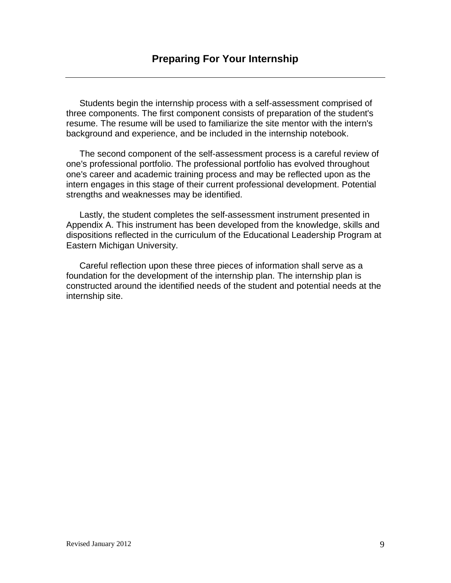Students begin the internship process with a self-assessment comprised of three components. The first component consists of preparation of the student's resume. The resume will be used to familiarize the site mentor with the intern's background and experience, and be included in the internship notebook.

The second component of the self-assessment process is a careful review of one's professional portfolio. The professional portfolio has evolved throughout one's career and academic training process and may be reflected upon as the intern engages in this stage of their current professional development. Potential strengths and weaknesses may be identified.

Lastly, the student completes the self-assessment instrument presented in Appendix A. This instrument has been developed from the knowledge, skills and dispositions reflected in the curriculum of the Educational Leadership Program at Eastern Michigan University.

Careful reflection upon these three pieces of information shall serve as a foundation for the development of the internship plan. The internship plan is constructed around the identified needs of the student and potential needs at the internship site.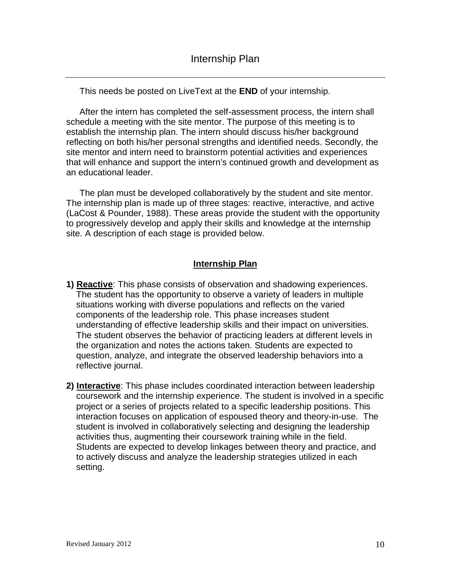This needs be posted on LiveText at the **END** of your internship.

After the intern has completed the self-assessment process, the intern shall schedule a meeting with the site mentor. The purpose of this meeting is to establish the internship plan. The intern should discuss his/her background reflecting on both his/her personal strengths and identified needs. Secondly, the site mentor and intern need to brainstorm potential activities and experiences that will enhance and support the intern's continued growth and development as an educational leader.

The plan must be developed collaboratively by the student and site mentor. The internship plan is made up of three stages: reactive, interactive, and active (LaCost & Pounder, 1988). These areas provide the student with the opportunity to progressively develop and apply their skills and knowledge at the internship site. A description of each stage is provided below.

#### **Internship Plan**

- **1) Reactive**: This phase consists of observation and shadowing experiences. The student has the opportunity to observe a variety of leaders in multiple situations working with diverse populations and reflects on the varied components of the leadership role. This phase increases student understanding of effective leadership skills and their impact on universities. The student observes the behavior of practicing leaders at different levels in the organization and notes the actions taken. Students are expected to question, analyze, and integrate the observed leadership behaviors into a reflective journal.
- **2) Interactive**: This phase includes coordinated interaction between leadership coursework and the internship experience. The student is involved in a specific project or a series of projects related to a specific leadership positions. This interaction focuses on application of espoused theory and theory-in-use. The student is involved in collaboratively selecting and designing the leadership activities thus, augmenting their coursework training while in the field. Students are expected to develop linkages between theory and practice, and to actively discuss and analyze the leadership strategies utilized in each setting.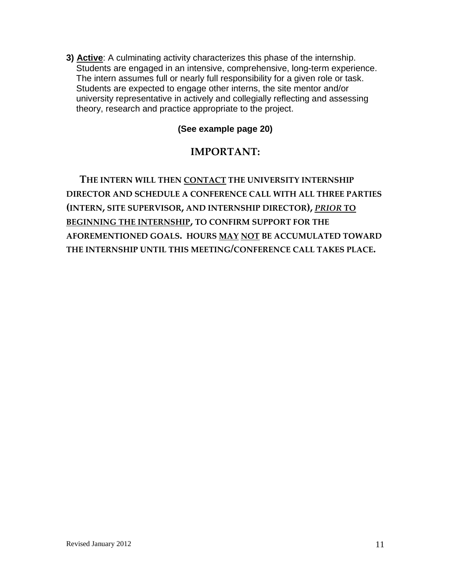**3) Active**: A culminating activity characterizes this phase of the internship. Students are engaged in an intensive, comprehensive, long-term experience. The intern assumes full or nearly full responsibility for a given role or task. Students are expected to engage other interns, the site mentor and/or university representative in actively and collegially reflecting and assessing theory, research and practice appropriate to the project.

## **(See example page 20)**

## **IMPORTANT:**

**THE INTERN WILL THEN CONTACT THE UNIVERSITY INTERNSHIP DIRECTOR AND SCHEDULE A CONFERENCE CALL WITH ALL THREE PARTIES (INTERN, SITE SUPERVISOR, AND INTERNSHIP DIRECTOR),** *PRIOR* **TO BEGINNING THE INTERNSHIP, TO CONFIRM SUPPORT FOR THE AFOREMENTIONED GOALS. HOURS MAY NOT BE ACCUMULATED TOWARD THE INTERNSHIP UNTIL THIS MEETING/CONFERENCE CALL TAKES PLACE.**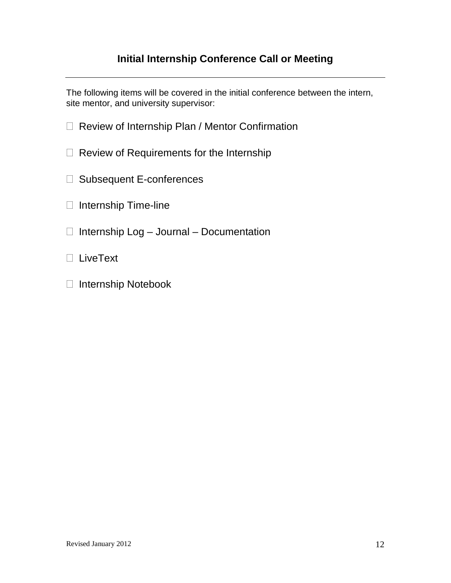## **Initial Internship Conference Call or Meeting**

The following items will be covered in the initial conference between the intern, site mentor, and university supervisor:

- □ Review of Internship Plan / Mentor Confirmation
- $\Box$  Review of Requirements for the Internship
- □ Subsequent E-conferences
- $\Box$  Internship Time-line
- $\Box$  Internship Log Journal Documentation
- LiveText
- □ Internship Notebook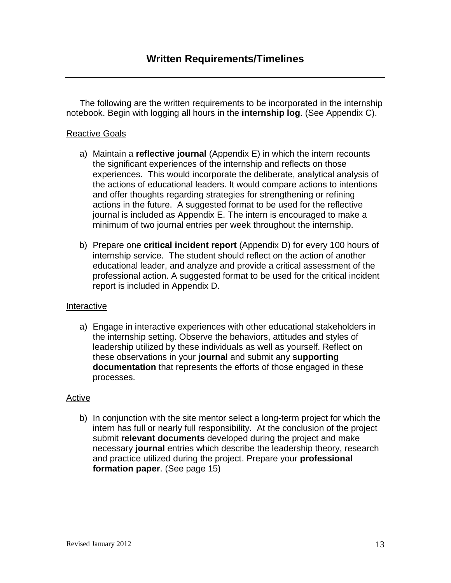The following are the written requirements to be incorporated in the internship notebook. Begin with logging all hours in the **internship log**. (See Appendix C).

#### Reactive Goals

- a) Maintain a **reflective journal** (Appendix E) in which the intern recounts the significant experiences of the internship and reflects on those experiences. This would incorporate the deliberate, analytical analysis of the actions of educational leaders. It would compare actions to intentions and offer thoughts regarding strategies for strengthening or refining actions in the future. A suggested format to be used for the reflective journal is included as Appendix E. The intern is encouraged to make a minimum of two journal entries per week throughout the internship.
- b) Prepare one **critical incident report** (Appendix D) for every 100 hours of internship service. The student should reflect on the action of another educational leader, and analyze and provide a critical assessment of the professional action. A suggested format to be used for the critical incident report is included in Appendix D.

#### Interactive

a) Engage in interactive experiences with other educational stakeholders in the internship setting. Observe the behaviors, attitudes and styles of leadership utilized by these individuals as well as yourself. Reflect on these observations in your **journal** and submit any **supporting documentation** that represents the efforts of those engaged in these processes.

#### Active

b) In conjunction with the site mentor select a long-term project for which the intern has full or nearly full responsibility. At the conclusion of the project submit **relevant documents** developed during the project and make necessary **journal** entries which describe the leadership theory, research and practice utilized during the project. Prepare your **professional formation paper**. (See page 15)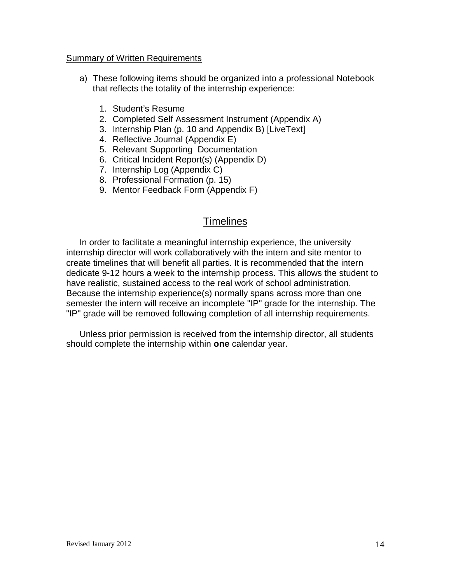#### Summary of Written Requirements

- a) These following items should be organized into a professional Notebook that reflects the totality of the internship experience:
	- 1. Student's Resume
	- 2. Completed Self Assessment Instrument (Appendix A)
	- 3. Internship Plan (p. 10 and Appendix B) [LiveText]
	- 4. Reflective Journal (Appendix E)
	- 5. Relevant Supporting Documentation
	- 6. Critical Incident Report(s) (Appendix D)
	- 7. Internship Log (Appendix C)
	- 8. Professional Formation (p. 15)
	- 9. Mentor Feedback Form (Appendix F)

### **Timelines**

In order to facilitate a meaningful internship experience, the university internship director will work collaboratively with the intern and site mentor to create timelines that will benefit all parties. It is recommended that the intern dedicate 9-12 hours a week to the internship process. This allows the student to have realistic, sustained access to the real work of school administration. Because the internship experience(s) normally spans across more than one semester the intern will receive an incomplete "IP" grade for the internship. The "IP" grade will be removed following completion of all internship requirements.

Unless prior permission is received from the internship director, all students should complete the internship within **one** calendar year.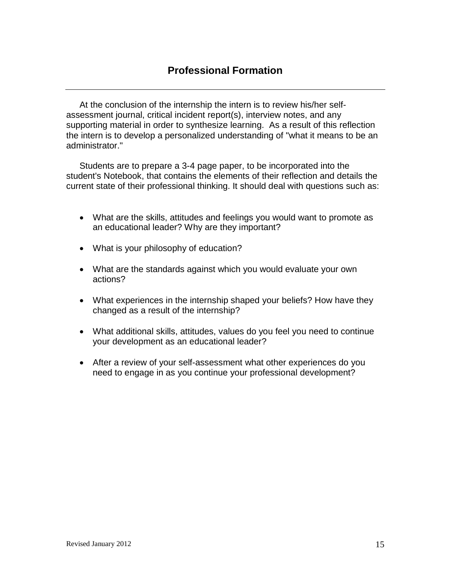At the conclusion of the internship the intern is to review his/her selfassessment journal, critical incident report(s), interview notes, and any supporting material in order to synthesize learning. As a result of this reflection the intern is to develop a personalized understanding of "what it means to be an administrator."

Students are to prepare a 3-4 page paper, to be incorporated into the student's Notebook, that contains the elements of their reflection and details the current state of their professional thinking. It should deal with questions such as:

- What are the skills, attitudes and feelings you would want to promote as an educational leader? Why are they important?
- What is your philosophy of education?
- What are the standards against which you would evaluate your own actions?
- What experiences in the internship shaped your beliefs? How have they changed as a result of the internship?
- What additional skills, attitudes, values do you feel you need to continue your development as an educational leader?
- After a review of your self-assessment what other experiences do you need to engage in as you continue your professional development?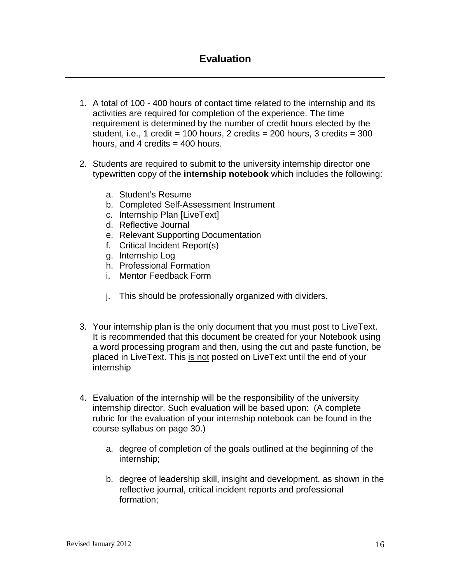- 1. A total of 100 400 hours of contact time related to the internship and its activities are required for completion of the experience. The time requirement is determined by the number of credit hours elected by the student, i.e., 1 credit = 100 hours, 2 credits =  $200$  hours, 3 credits =  $300$ hours, and 4 credits  $=$  400 hours.
- 2. Students are required to submit to the university internship director one typewritten copy of the **internship notebook** which includes the following:
	- a. Student's Resume
	- b. Completed Self-Assessment Instrument
	- c. Internship Plan [LiveText]
	- d. Reflective Journal
	- e. Relevant Supporting Documentation
	- f. Critical Incident Report(s)
	- g. Internship Log
	- h. Professional Formation
	- i. Mentor Feedback Form
	- j. This should be professionally organized with dividers.
- 3. Your internship plan is the only document that you must post to LiveText. It is recommended that this document be created for your Notebook using a word processing program and then, using the cut and paste function, be placed in LiveText. This is not posted on LiveText until the end of your internship
- 4. Evaluation of the internship will be the responsibility of the university internship director. Such evaluation will be based upon: (A complete rubric for the evaluation of your internship notebook can be found in the course syllabus on page 30.)
	- a. degree of completion of the goals outlined at the beginning of the internship;
	- b. degree of leadership skill, insight and development, as shown in the reflective journal, critical incident reports and professional formation;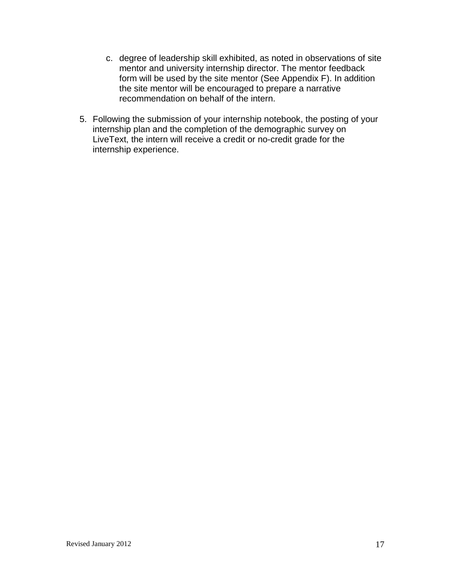- c. degree of leadership skill exhibited, as noted in observations of site mentor and university internship director. The mentor feedback form will be used by the site mentor (See Appendix F). In addition the site mentor will be encouraged to prepare a narrative recommendation on behalf of the intern.
- 5. Following the submission of your internship notebook, the posting of your internship plan and the completion of the demographic survey on LiveText, the intern will receive a credit or no-credit grade for the internship experience.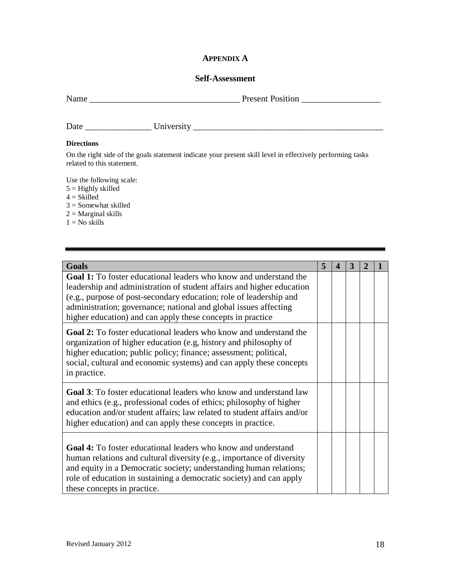#### **APPENDIX A**

#### **Self-Assessment**

| Name | <b>Present Position</b> |
|------|-------------------------|
|      |                         |

| Date | - -<br>ັ້<br>.<br>$    -$ |  |
|------|---------------------------|--|
|      |                           |  |

#### **Directions**

On the right side of the goals statement indicate your present skill level in effectively performing tasks related to this statement.

Use the following scale:

- $5 =$  Highly skilled
- $4 = Skilled$
- 3 = Somewhat skilled
- $2 = Marginal$  skills
- $1 = No$  skills

| <b>Goals</b>                                                                                                                                                                                                                                                                                                                                              | 5 | $\boldsymbol{\mathcal{L}}$ | 3 | 2 |  |
|-----------------------------------------------------------------------------------------------------------------------------------------------------------------------------------------------------------------------------------------------------------------------------------------------------------------------------------------------------------|---|----------------------------|---|---|--|
| <b>Goal 1:</b> To foster educational leaders who know and understand the<br>leadership and administration of student affairs and higher education<br>(e.g., purpose of post-secondary education; role of leadership and<br>administration; governance; national and global issues affecting<br>higher education) and can apply these concepts in practice |   |                            |   |   |  |
| <b>Goal 2:</b> To foster educational leaders who know and understand the<br>organization of higher education (e.g, history and philosophy of<br>higher education; public policy; finance; assessment; political,<br>social, cultural and economic systems) and can apply these concepts<br>in practice.                                                   |   |                            |   |   |  |
| <b>Goal 3:</b> To foster educational leaders who know and understand law<br>and ethics (e.g., professional codes of ethics; philosophy of higher<br>education and/or student affairs; law related to student affairs and/or<br>higher education) and can apply these concepts in practice.                                                                |   |                            |   |   |  |
| Goal 4: To foster educational leaders who know and understand<br>human relations and cultural diversity (e.g., importance of diversity<br>and equity in a Democratic society; understanding human relations;<br>role of education in sustaining a democratic society) and can apply<br>these concepts in practice.                                        |   |                            |   |   |  |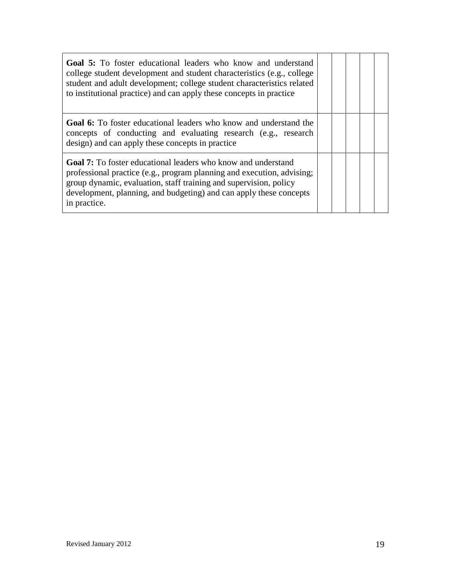| <b>Goal 5:</b> To foster educational leaders who know and understand<br>college student development and student characteristics (e.g., college<br>student and adult development; college student characteristics related<br>to institutional practice) and can apply these concepts in practice           |  |  |  |
|-----------------------------------------------------------------------------------------------------------------------------------------------------------------------------------------------------------------------------------------------------------------------------------------------------------|--|--|--|
| <b>Goal 6:</b> To foster educational leaders who know and understand the<br>concepts of conducting and evaluating research (e.g., research<br>design) and can apply these concepts in practice                                                                                                            |  |  |  |
| <b>Goal 7:</b> To foster educational leaders who know and understand<br>professional practice (e.g., program planning and execution, advising;<br>group dynamic, evaluation, staff training and supervision, policy<br>development, planning, and budgeting) and can apply these concepts<br>in practice. |  |  |  |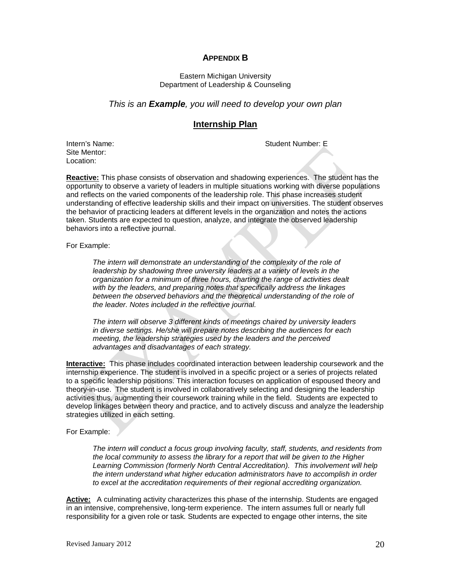#### **APPENDIX B**

#### Eastern Michigan University Department of Leadership & Counseling

#### *This is an Example, you will need to develop your own plan*

#### **Internship Plan**

Intern's Name: Student Number: E

Site Mentor: Location:

**Reactive:** This phase consists of observation and shadowing experiences. The student has the opportunity to observe a variety of leaders in multiple situations working with diverse populations and reflects on the varied components of the leadership role. This phase increases student understanding of effective leadership skills and their impact on universities. The student observes the behavior of practicing leaders at different levels in the organization and notes the actions taken. Students are expected to question, analyze, and integrate the observed leadership behaviors into a reflective journal.

For Example:

*The intern will demonstrate an understanding of the complexity of the role of leadership by shadowing three university leaders at a variety of levels in the organization for a minimum of three hours, charting the range of activities dealt with by the leaders, and preparing notes that specifically address the linkages between the observed behaviors and the theoretical understanding of the role of the leader. Notes included in the reflective journal.* 

*The intern will observe 3 different kinds of meetings chaired by university leaders in diverse settings. He/she will prepare notes describing the audiences for each meeting, the leadership strategies used by the leaders and the perceived advantages and disadvantages of each strategy.* 

**Interactive:** This phase includes coordinated interaction between leadership coursework and the internship experience. The student is involved in a specific project or a series of projects related to a specific leadership positions. This interaction focuses on application of espoused theory and theory-in-use. The student is involved in collaboratively selecting and designing the leadership activities thus, augmenting their coursework training while in the field. Students are expected to develop linkages between theory and practice, and to actively discuss and analyze the leadership strategies utilized in each setting.

#### For Example:

*The intern will conduct a focus group involving faculty, staff, students, and residents from the local community to assess the library for a report that will be given to the Higher Learning Commission (formerly North Central Accreditation). This involvement will help the intern understand what higher education administrators have to accomplish in order to excel at the accreditation requirements of their regional accrediting organization.*

**Active:** A culminating activity characterizes this phase of the internship. Students are engaged in an intensive, comprehensive, long-term experience. The intern assumes full or nearly full responsibility for a given role or task. Students are expected to engage other interns, the site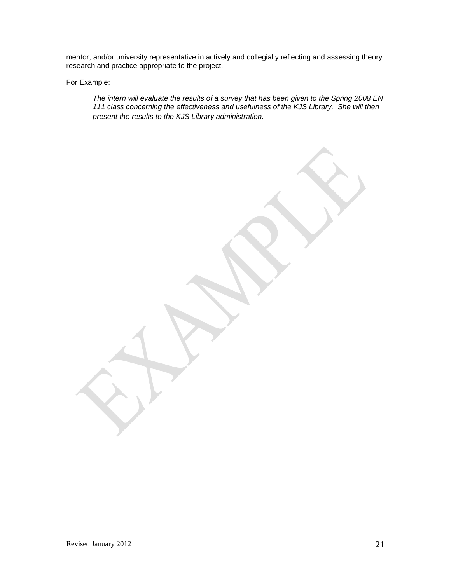mentor, and/or university representative in actively and collegially reflecting and assessing theory research and practice appropriate to the project.

For Example:

*The intern will evaluate the results of a survey that has been given to the Spring 2008 EN 111 class concerning the effectiveness and usefulness of the KJS Library. She will then present the results to the KJS Library administration.*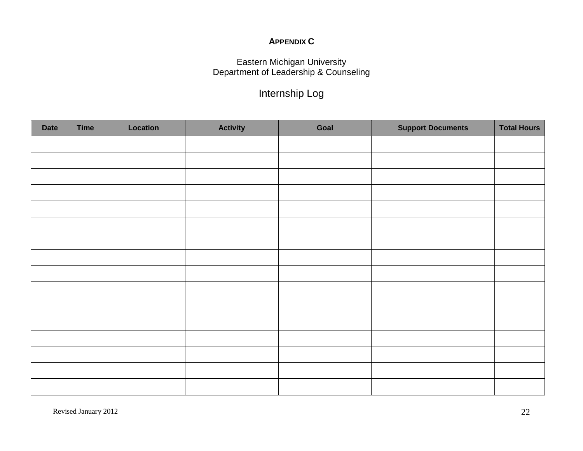## **APPENDIX C**

#### Eastern Michigan University Department of Leadership & Counseling

## Internship Log

| <b>Date</b> | <b>Time</b> | Location | <b>Activity</b> | Goal | <b>Support Documents</b> | <b>Total Hours</b> |
|-------------|-------------|----------|-----------------|------|--------------------------|--------------------|
|             |             |          |                 |      |                          |                    |
|             |             |          |                 |      |                          |                    |
|             |             |          |                 |      |                          |                    |
|             |             |          |                 |      |                          |                    |
|             |             |          |                 |      |                          |                    |
|             |             |          |                 |      |                          |                    |
|             |             |          |                 |      |                          |                    |
|             |             |          |                 |      |                          |                    |
|             |             |          |                 |      |                          |                    |
|             |             |          |                 |      |                          |                    |
|             |             |          |                 |      |                          |                    |
|             |             |          |                 |      |                          |                    |
|             |             |          |                 |      |                          |                    |
|             |             |          |                 |      |                          |                    |
|             |             |          |                 |      |                          |                    |
|             |             |          |                 |      |                          |                    |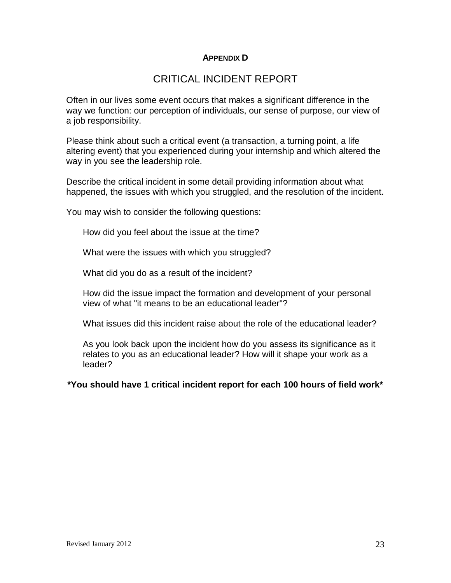#### **APPENDIX D**

## CRITICAL INCIDENT REPORT

Often in our lives some event occurs that makes a significant difference in the way we function: our perception of individuals, our sense of purpose, our view of a job responsibility.

Please think about such a critical event (a transaction, a turning point, a life altering event) that you experienced during your internship and which altered the way in you see the leadership role.

Describe the critical incident in some detail providing information about what happened, the issues with which you struggled, and the resolution of the incident.

You may wish to consider the following questions:

How did you feel about the issue at the time?

What were the issues with which you struggled?

What did you do as a result of the incident?

How did the issue impact the formation and development of your personal view of what "it means to be an educational leader"?

What issues did this incident raise about the role of the educational leader?

As you look back upon the incident how do you assess its significance as it relates to you as an educational leader? How will it shape your work as a leader?

**\*You should have 1 critical incident report for each 100 hours of field work\***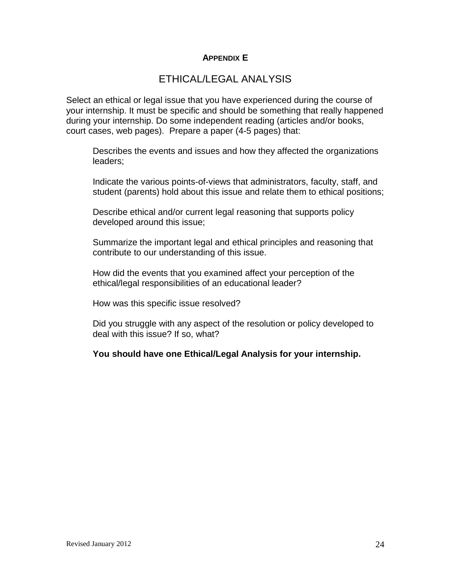#### **APPENDIX E**

## ETHICAL/LEGAL ANALYSIS

Select an ethical or legal issue that you have experienced during the course of your internship. It must be specific and should be something that really happened during your internship. Do some independent reading (articles and/or books, court cases, web pages). Prepare a paper (4-5 pages) that:

Describes the events and issues and how they affected the organizations leaders;

Indicate the various points-of-views that administrators, faculty, staff, and student (parents) hold about this issue and relate them to ethical positions;

Describe ethical and/or current legal reasoning that supports policy developed around this issue;

Summarize the important legal and ethical principles and reasoning that contribute to our understanding of this issue.

How did the events that you examined affect your perception of the ethical/legal responsibilities of an educational leader?

How was this specific issue resolved?

Did you struggle with any aspect of the resolution or policy developed to deal with this issue? If so, what?

#### **You should have one Ethical/Legal Analysis for your internship.**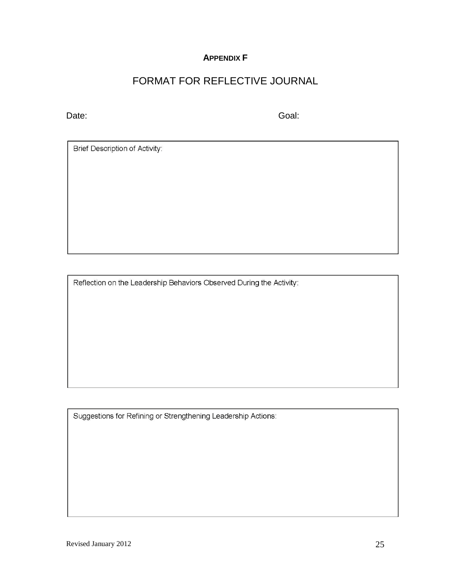#### **APPENDIX F**

## FORMAT FOR REFLECTIVE JOURNAL

Date: Goal: Goal: Goal: Goal: Goal: Goal: Goal: Goal: Goal: Goal: Goal: Goal: Goal: Goal: Goal: Goal: Goal: Goal: Goal: Goal: Goal: Goal: Goal: Goal: Goal: Goal: Goal: Goal: Goal: Goal: Goal: Goal: Goal: Goal: Goal: Goal:

Brief Description of Activity:

Reflection on the Leadership Behaviors Observed During the Activity:

Suggestions for Refining or Strengthening Leadership Actions: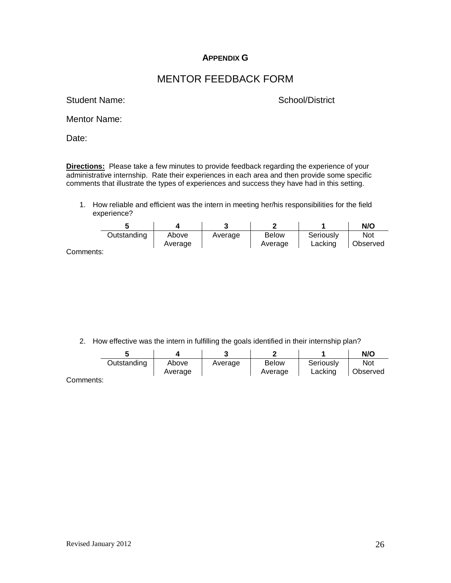#### **APPENDIX G**

### MENTOR FEEDBACK FORM

Student Name: School/District

Mentor Name:

Date:

**Directions:** Please take a few minutes to provide feedback regarding the experience of your administrative internship. Rate their experiences in each area and then provide some specific comments that illustrate the types of experiences and success they have had in this setting.

1. How reliable and efficient was the intern in meeting her/his responsibilities for the field experience?

|           |             |                  |         |                         |                      | N/O                    |
|-----------|-------------|------------------|---------|-------------------------|----------------------|------------------------|
|           | Outstanding | Above<br>Average | Average | <b>Below</b><br>Average | Seriously<br>Lacking | <b>Not</b><br>Observed |
| Comments: |             |                  |         |                         |                      |                        |

2. How effective was the intern in fulfilling the goals identified in their internship plan?

|           |             |         |         |              |                      | N/O             |
|-----------|-------------|---------|---------|--------------|----------------------|-----------------|
|           | Outstanding | Above   | Average | <b>Below</b> | Seriously<br>Lacking | Not<br>Observed |
| Comments: |             | Average |         | Average      |                      |                 |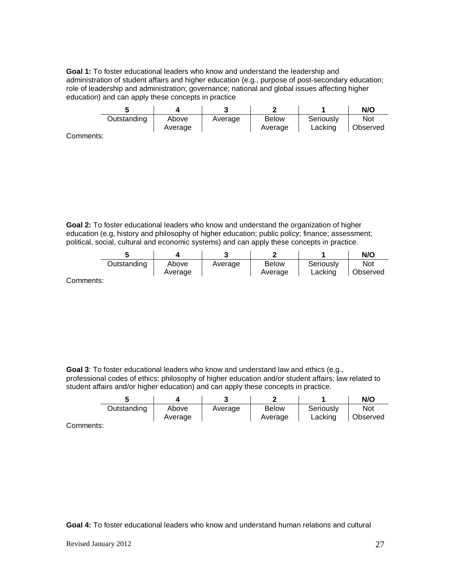**Goal 1:** To foster educational leaders who know and understand the leadership and administration of student affairs and higher education (e.g., purpose of post-secondary education; role of leadership and administration; governance; national and global issues affecting higher education) and can apply these concepts in practice

|             |         |         |              |           | N/O      |
|-------------|---------|---------|--------------|-----------|----------|
| Outstanding | Above   | Average | <b>Below</b> | Seriously | Not      |
|             | Average |         | Average      | Lacking   | Observed |

Comments:

**Goal 2:** To foster educational leaders who know and understand the organization of higher education (e.g, history and philosophy of higher education; public policy; finance; assessment; political, social, cultural and economic systems) and can apply these concepts in practice.

|             |         |         |              |           | N/O      |
|-------------|---------|---------|--------------|-----------|----------|
| Outstanding | Above   | Average | <b>Below</b> | Seriously | Not      |
|             | Average |         | Average      | Lacking   | Observed |

Comments:

**Goal 3**: To foster educational leaders who know and understand law and ethics (e.g., professional codes of ethics; philosophy of higher education and/or student affairs; law related to student affairs and/or higher education) and can apply these concepts in practice.

|        |             |         |         |              |           | N/O      |
|--------|-------------|---------|---------|--------------|-----------|----------|
|        | Outstanding | Above   | Average | <b>Below</b> | Seriously | Not      |
| maxmax |             | Average |         | Average      | Lacking   | Observed |

Comments:

**Goal 4:** To foster educational leaders who know and understand human relations and cultural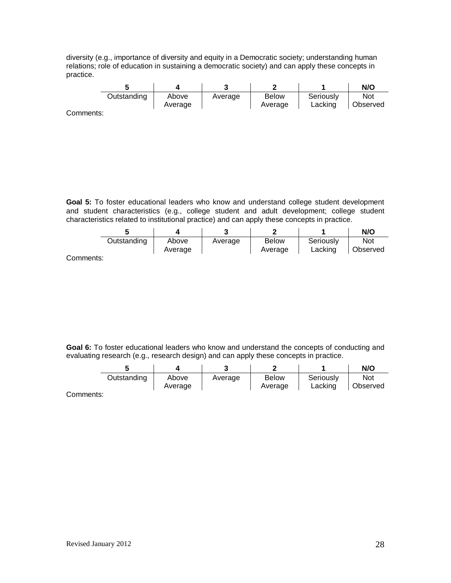diversity (e.g., importance of diversity and equity in a Democratic society; understanding human relations; role of education in sustaining a democratic society) and can apply these concepts in practice.

|                          |             |                  |         | m                       |                      | N/O             |
|--------------------------|-------------|------------------|---------|-------------------------|----------------------|-----------------|
|                          | Outstanding | Above<br>Average | Average | <b>Below</b><br>Average | Seriously<br>Lacking | Not<br>Observed |
| $\sim$ menses to the set |             |                  |         |                         |                      |                 |

Comments:

**Goal 5:** To foster educational leaders who know and understand college student development and student characteristics (e.g., college student and adult development; college student characteristics related to institutional practice) and can apply these concepts in practice.

|           |             |                  |         |                         |                      | N/O             |
|-----------|-------------|------------------|---------|-------------------------|----------------------|-----------------|
|           | Outstanding | Above<br>Average | Average | <b>Below</b><br>Average | Seriously<br>Lacking | Not<br>Observed |
| Comments: |             |                  |         |                         |                      |                 |

**Goal 6:** To foster educational leaders who know and understand the concepts of conducting and evaluating research (e.g., research design) and can apply these concepts in practice.

|             |         |         |              |           | N/O      |
|-------------|---------|---------|--------------|-----------|----------|
| Outstanding | Above   | Average | <b>Below</b> | Seriously | Not      |
|             | Average |         | Average      | Lacking   | Observed |

Comments: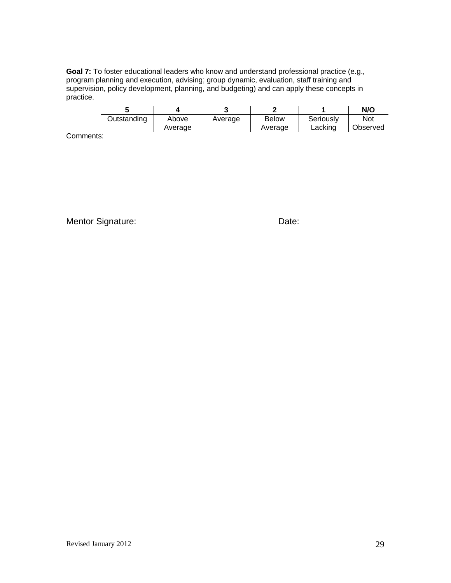**Goal 7:** To foster educational leaders who know and understand professional practice (e.g., program planning and execution, advising; group dynamic, evaluation, staff training and supervision, policy development, planning, and budgeting) and can apply these concepts in practice.

|             |         |         |              |           | N/O      |
|-------------|---------|---------|--------------|-----------|----------|
| Outstanding | Above   | Average | <b>Below</b> | Seriously | Not      |
|             | Average |         | Average      | Lacking   | Observed |

Comments:

Mentor Signature: Date: Date: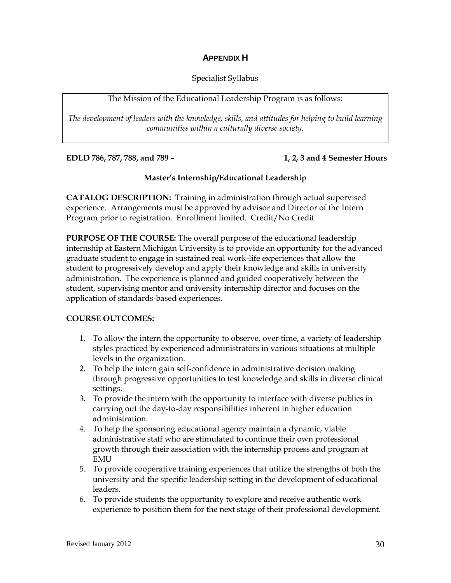#### **APPENDIX H**

#### Specialist Syllabus

#### The Mission of the Educational Leadership Program is as follows:

*The development of leaders with the knowledge, skills, and attitudes for helping to build learning communities within a culturally diverse society.*

**EDLD 786, 787, 788, and 789 – 1, 2, 3 and 4 Semester Hours**

#### **Master's Internship/Educational Leadership**

**CATALOG DESCRIPTION:** Training in administration through actual supervised experience. Arrangements must be approved by advisor and Director of the Intern Program prior to registration. Enrollment limited. Credit/No Credit

**PURPOSE OF THE COURSE:** The overall purpose of the educational leadership internship at Eastern Michigan University is to provide an opportunity for the advanced graduate student to engage in sustained real work-life experiences that allow the student to progressively develop and apply their knowledge and skills in university administration. The experience is planned and guided cooperatively between the student, supervising mentor and university internship director and focuses on the application of standards-based experiences.

#### **COURSE OUTCOMES:**

- 1. To allow the intern the opportunity to observe, over time, a variety of leadership styles practiced by experienced administrators in various situations at multiple levels in the organization.
- 2. To help the intern gain self-confidence in administrative decision making through progressive opportunities to test knowledge and skills in diverse clinical settings.
- 3. To provide the intern with the opportunity to interface with diverse publics in carrying out the day-to-day responsibilities inherent in higher education administration.
- 4. To help the sponsoring educational agency maintain a dynamic, viable administrative staff who are stimulated to continue their own professional growth through their association with the internship process and program at EMU
- 5. To provide cooperative training experiences that utilize the strengths of both the university and the specific leadership setting in the development of educational leaders.
- 6. To provide students the opportunity to explore and receive authentic work experience to position them for the next stage of their professional development.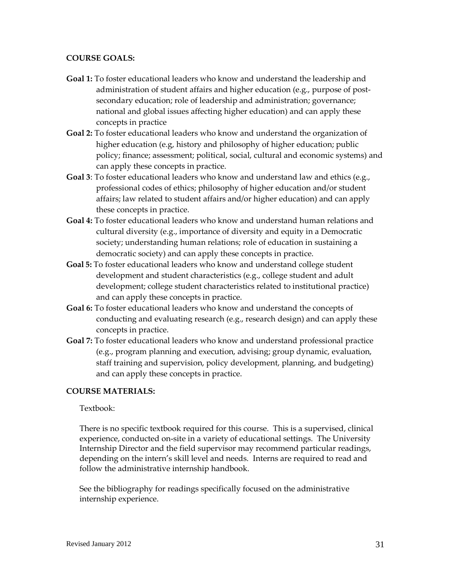#### **COURSE GOALS:**

- **Goal 1:** To foster educational leaders who know and understand the leadership and administration of student affairs and higher education (e.g., purpose of postsecondary education; role of leadership and administration; governance; national and global issues affecting higher education) and can apply these concepts in practice
- **Goal 2:** To foster educational leaders who know and understand the organization of higher education (e.g, history and philosophy of higher education; public policy; finance; assessment; political, social, cultural and economic systems) and can apply these concepts in practice.
- **Goal 3**: To foster educational leaders who know and understand law and ethics (e.g., professional codes of ethics; philosophy of higher education and/or student affairs; law related to student affairs and/or higher education) and can apply these concepts in practice.
- **Goal 4:** To foster educational leaders who know and understand human relations and cultural diversity (e.g., importance of diversity and equity in a Democratic society; understanding human relations; role of education in sustaining a democratic society) and can apply these concepts in practice.
- **Goal 5:** To foster educational leaders who know and understand college student development and student characteristics (e.g., college student and adult development; college student characteristics related to institutional practice) and can apply these concepts in practice.
- **Goal 6:** To foster educational leaders who know and understand the concepts of conducting and evaluating research (e.g., research design) and can apply these concepts in practice.
- **Goal 7:** To foster educational leaders who know and understand professional practice (e.g., program planning and execution, advising; group dynamic, evaluation, staff training and supervision, policy development, planning, and budgeting) and can apply these concepts in practice.

#### **COURSE MATERIALS:**

#### Textbook:

There is no specific textbook required for this course. This is a supervised, clinical experience, conducted on-site in a variety of educational settings. The University Internship Director and the field supervisor may recommend particular readings, depending on the intern's skill level and needs. Interns are required to read and follow the administrative internship handbook.

See the bibliography for readings specifically focused on the administrative internship experience.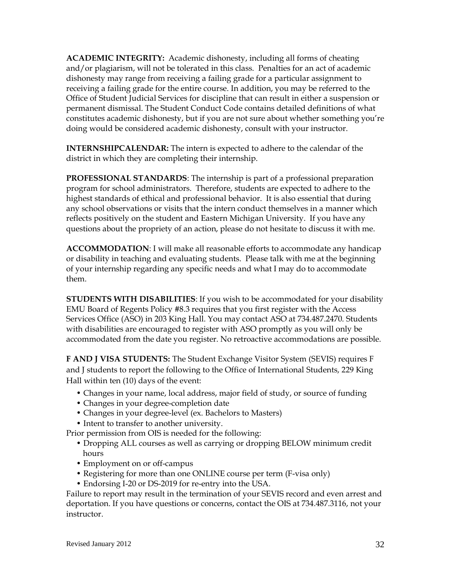**ACADEMIC INTEGRITY:** Academic dishonesty, including all forms of cheating and/or plagiarism, will not be tolerated in this class. Penalties for an act of academic dishonesty may range from receiving a failing grade for a particular assignment to receiving a failing grade for the entire course. In addition, you may be referred to the Office of Student Judicial Services for discipline that can result in either a suspension or permanent dismissal. The Student Conduct Code contains detailed definitions of what constitutes academic dishonesty, but if you are not sure about whether something you're doing would be considered academic dishonesty, consult with your instructor.

**INTERNSHIPCALENDAR:** The intern is expected to adhere to the calendar of the district in which they are completing their internship.

**PROFESSIONAL STANDARDS**: The internship is part of a professional preparation program for school administrators. Therefore, students are expected to adhere to the highest standards of ethical and professional behavior. It is also essential that during any school observations or visits that the intern conduct themselves in a manner which reflects positively on the student and Eastern Michigan University. If you have any questions about the propriety of an action, please do not hesitate to discuss it with me.

**ACCOMMODATION**: I will make all reasonable efforts to accommodate any handicap or disability in teaching and evaluating students. Please talk with me at the beginning of your internship regarding any specific needs and what I may do to accommodate them.

**STUDENTS WITH DISABILITIES**: If you wish to be accommodated for your disability EMU Board of Regents Policy #8.3 requires that you first register with the Access Services Office (ASO) in 203 King Hall. You may contact ASO at 734.487.2470. Students with disabilities are encouraged to register with ASO promptly as you will only be accommodated from the date you register. No retroactive accommodations are possible.

**F AND J VISA STUDENTS:** The Student Exchange Visitor System (SEVIS) requires F and J students to report the following to the Office of International Students, 229 King Hall within ten (10) days of the event:

- Changes in your name, local address, major field of study, or source of funding
- Changes in your degree-completion date
- Changes in your degree-level (ex. Bachelors to Masters)
- Intent to transfer to another university.

Prior permission from OIS is needed for the following:

- Dropping ALL courses as well as carrying or dropping BELOW minimum credit hours
- Employment on or off-campus
- Registering for more than one ONLINE course per term (F-visa only)
- Endorsing I-20 or DS-2019 for re-entry into the USA.

Failure to report may result in the termination of your SEVIS record and even arrest and deportation. If you have questions or concerns, contact the OIS at 734.487.3116, not your instructor.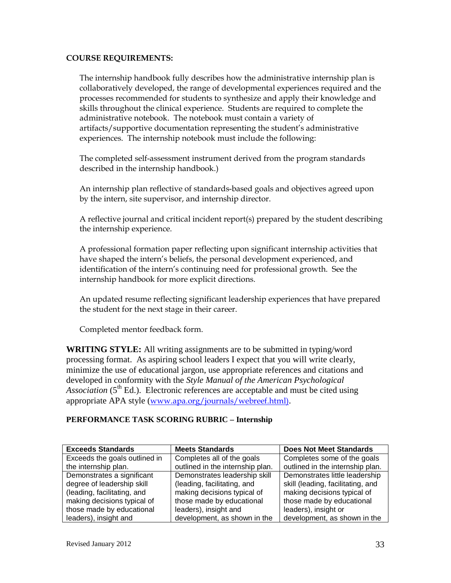#### **COURSE REQUIREMENTS:**

The internship handbook fully describes how the administrative internship plan is collaboratively developed, the range of developmental experiences required and the processes recommended for students to synthesize and apply their knowledge and skills throughout the clinical experience. Students are required to complete the administrative notebook. The notebook must contain a variety of artifacts/supportive documentation representing the student's administrative experiences. The internship notebook must include the following:

The completed self-assessment instrument derived from the program standards described in the internship handbook.)

An internship plan reflective of standards-based goals and objectives agreed upon by the intern, site supervisor, and internship director.

A reflective journal and critical incident report(s) prepared by the student describing the internship experience.

A professional formation paper reflecting upon significant internship activities that have shaped the intern's beliefs, the personal development experienced, and identification of the intern's continuing need for professional growth. See the internship handbook for more explicit directions.

An updated resume reflecting significant leadership experiences that have prepared the student for the next stage in their career.

Completed mentor feedback form.

**WRITING STYLE:** All writing assignments are to be submitted in typing/word processing format. As aspiring school leaders I expect that you will write clearly, minimize the use of educational jargon, use appropriate references and citations and developed in conformity with the *Style Manual of the American Psychological Association* ( $5<sup>th</sup>$  Ed.). Electronic references are acceptable and must be cited using appropriate APA style ([www.apa.org/journals/webreef.html\)](http://www.apa.org/journals/webreef.html)).

#### **PERFORMANCE TASK SCORING RUBRIC – Internship**

| <b>Exceeds Standards</b>      | <b>Meets Standards</b>           | <b>Does Not Meet Standards</b>    |
|-------------------------------|----------------------------------|-----------------------------------|
| Exceeds the goals outlined in | Completes all of the goals       | Completes some of the goals       |
| the internship plan.          | outlined in the internship plan. | outlined in the internship plan.  |
| Demonstrates a significant    | Demonstrates leadership skill    | Demonstrates little leadership    |
| degree of leadership skill    | (leading, facilitating, and      | skill (leading, facilitating, and |
| (leading, facilitating, and   | making decisions typical of      | making decisions typical of       |
| making decisions typical of   | those made by educational        | those made by educational         |
| those made by educational     | leaders), insight and            | leaders), insight or              |
| leaders), insight and         | development, as shown in the     | development, as shown in the      |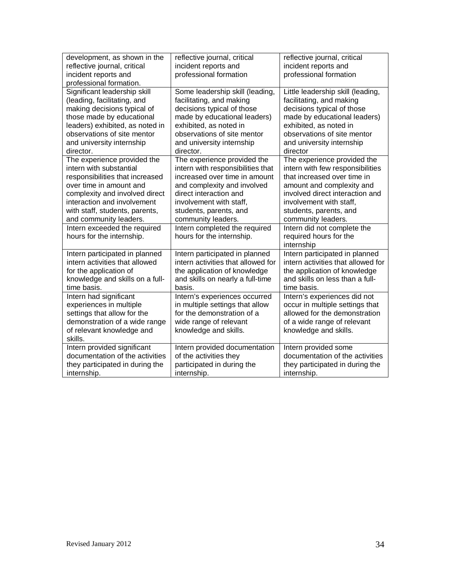| development, as shown in the                                                                                                                                                                                                                                   | reflective journal, critical                                                                                                                                                                                                 | reflective journal, critical                                                                                                                                                                                                  |
|----------------------------------------------------------------------------------------------------------------------------------------------------------------------------------------------------------------------------------------------------------------|------------------------------------------------------------------------------------------------------------------------------------------------------------------------------------------------------------------------------|-------------------------------------------------------------------------------------------------------------------------------------------------------------------------------------------------------------------------------|
| reflective journal, critical                                                                                                                                                                                                                                   | incident reports and                                                                                                                                                                                                         | incident reports and                                                                                                                                                                                                          |
| incident reports and                                                                                                                                                                                                                                           | professional formation                                                                                                                                                                                                       | professional formation                                                                                                                                                                                                        |
| professional formation.<br>Significant leadership skill<br>(leading, facilitating, and<br>making decisions typical of<br>those made by educational<br>leaders) exhibited, as noted in<br>observations of site mentor<br>and university internship<br>director. | Some leadership skill (leading,<br>facilitating, and making<br>decisions typical of those<br>made by educational leaders)<br>exhibited, as noted in<br>observations of site mentor<br>and university internship<br>director. | Little leadership skill (leading,<br>facilitating, and making<br>decisions typical of those<br>made by educational leaders)<br>exhibited, as noted in<br>observations of site mentor<br>and university internship<br>director |
| The experience provided the                                                                                                                                                                                                                                    | The experience provided the                                                                                                                                                                                                  | The experience provided the                                                                                                                                                                                                   |
| intern with substantial                                                                                                                                                                                                                                        | intern with responsibilities that                                                                                                                                                                                            | intern with few responsibilities                                                                                                                                                                                              |
| responsibilities that increased                                                                                                                                                                                                                                | increased over time in amount                                                                                                                                                                                                | that increased over time in                                                                                                                                                                                                   |
| over time in amount and                                                                                                                                                                                                                                        | and complexity and involved                                                                                                                                                                                                  | amount and complexity and                                                                                                                                                                                                     |
| complexity and involved direct                                                                                                                                                                                                                                 | direct interaction and                                                                                                                                                                                                       | involved direct interaction and                                                                                                                                                                                               |
| interaction and involvement                                                                                                                                                                                                                                    | involvement with staff,                                                                                                                                                                                                      | involvement with staff,                                                                                                                                                                                                       |
| with staff, students, parents,                                                                                                                                                                                                                                 | students, parents, and                                                                                                                                                                                                       | students, parents, and                                                                                                                                                                                                        |
| and community leaders.                                                                                                                                                                                                                                         | community leaders.                                                                                                                                                                                                           | community leaders.                                                                                                                                                                                                            |
| Intern exceeded the required<br>hours for the internship.                                                                                                                                                                                                      | Intern completed the required<br>hours for the internship.                                                                                                                                                                   | Intern did not complete the<br>required hours for the<br>internship                                                                                                                                                           |
| Intern participated in planned                                                                                                                                                                                                                                 | Intern participated in planned                                                                                                                                                                                               | Intern participated in planned                                                                                                                                                                                                |
| intern activities that allowed                                                                                                                                                                                                                                 | intern activities that allowed for                                                                                                                                                                                           | intern activities that allowed for                                                                                                                                                                                            |
| for the application of                                                                                                                                                                                                                                         | the application of knowledge                                                                                                                                                                                                 | the application of knowledge                                                                                                                                                                                                  |
| knowledge and skills on a full-                                                                                                                                                                                                                                | and skills on nearly a full-time                                                                                                                                                                                             | and skills on less than a full-                                                                                                                                                                                               |
| time basis.                                                                                                                                                                                                                                                    | basis.                                                                                                                                                                                                                       | time basis.                                                                                                                                                                                                                   |
| Intern had significant<br>experiences in multiple<br>settings that allow for the<br>demonstration of a wide range<br>of relevant knowledge and<br>skills.                                                                                                      | Intern's experiences occurred<br>in multiple settings that allow<br>for the demonstration of a<br>wide range of relevant<br>knowledge and skills.                                                                            | Intern's experiences did not<br>occur in multiple settings that<br>allowed for the demonstration<br>of a wide range of relevant<br>knowledge and skills.                                                                      |
| Intern provided significant                                                                                                                                                                                                                                    | Intern provided documentation                                                                                                                                                                                                | Intern provided some                                                                                                                                                                                                          |
| documentation of the activities                                                                                                                                                                                                                                | of the activities they                                                                                                                                                                                                       | documentation of the activities                                                                                                                                                                                               |
| they participated in during the                                                                                                                                                                                                                                | participated in during the                                                                                                                                                                                                   | they participated in during the                                                                                                                                                                                               |
| internship.                                                                                                                                                                                                                                                    | internship.                                                                                                                                                                                                                  | internship.                                                                                                                                                                                                                   |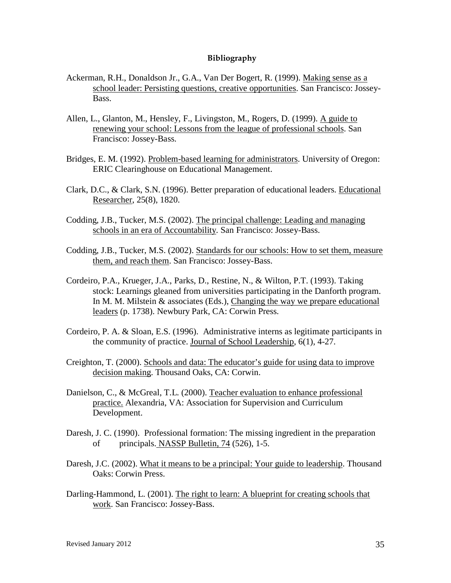#### **Bibliography**

- Ackerman, R.H., Donaldson Jr., G.A., Van Der Bogert, R. (1999). Making sense as a school leader: Persisting questions, creative opportunities. San Francisco: Jossey-Bass.
- Allen, L., Glanton, M., Hensley, F., Livingston, M., Rogers, D. (1999). A guide to renewing your school: Lessons from the league of professional schools. San Francisco: Jossey-Bass.
- Bridges, E. M. (1992). Problem-based learning for administrators. University of Oregon: ERIC Clearinghouse on Educational Management.
- Clark, D.C., & Clark, S.N. (1996). Better preparation of educational leaders. Educational Researcher, 25(8), 1820.
- Codding, J.B., Tucker, M.S. (2002). The principal challenge: Leading and managing schools in an era of Accountability. San Francisco: Jossey-Bass.
- Codding, J.B., Tucker, M.S. (2002). Standards for our schools: How to set them, measure them, and reach them. San Francisco: Jossey-Bass.
- Cordeiro, P.A., Krueger, J.A., Parks, D., Restine, N., & Wilton, P.T. (1993). Taking stock: Learnings gleaned from universities participating in the Danforth program. In M. M. Milstein & associates (Eds.), Changing the way we prepare educational leaders (p. 1738). Newbury Park, CA: Corwin Press.
- Cordeiro, P. A. & Sloan, E.S. (1996). Administrative interns as legitimate participants in the community of practice. Journal of School Leadership, 6(1), 4-27.
- Creighton, T. (2000). Schools and data: The educator's guide for using data to improve decision making. Thousand Oaks, CA: Corwin.
- Danielson, C., & McGreal, T.L. (2000). Teacher evaluation to enhance professional practice. Alexandria, VA: Association for Supervision and Curriculum Development.
- Daresh, J. C. (1990). Professional formation: The missing ingredient in the preparation of principals. NASSP Bulletin, 74 (526), 1-5.
- Daresh, J.C. (2002). What it means to be a principal: Your guide to leadership. Thousand Oaks: Corwin Press.
- Darling-Hammond, L. (2001). The right to learn: A blueprint for creating schools that work. San Francisco: Jossey-Bass.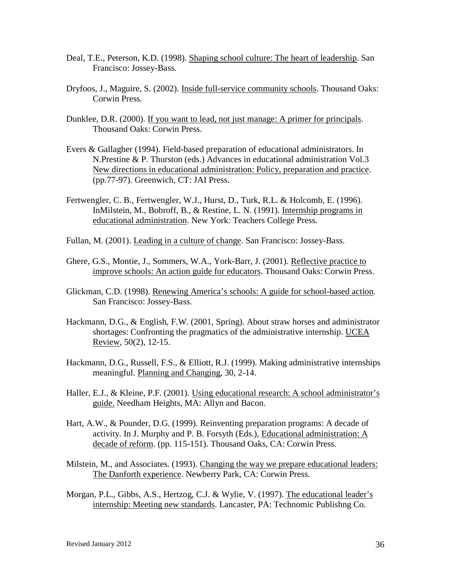- Deal, T.E., Peterson, K.D. (1998). Shaping school culture: The heart of leadership. San Francisco: Jossey-Bass.
- Dryfoos, J., Maguire, S. (2002). Inside full-service community schools. Thousand Oaks: Corwin Press.
- Dunklee, D.R. (2000). If you want to lead, not just manage: A primer for principals. Thousand Oaks: Corwin Press.
- Evers & Gallagher (1994). Field-based preparation of educational administrators. In N.Prestine & P. Thurston (eds.) Advances in educational administration Vol.3 New directions in educational administration: Policy, preparation and practice. (pp.77-97). Greenwich, CT: JAI Press.
- Fertwengler, C. B., Fertwengler, W.J., Hurst, D., Turk, R.L. & Holcomb, E. (1996). InMilstein, M., Bobroff, B., & Restine, L. N. (1991). Internship programs in educational administration. New York: Teachers College Press.
- Fullan, M. (2001). Leading in a culture of change. San Francisco: Jossey-Bass.
- Ghere, G.S., Montie, J., Sommers, W.A., York-Barr, J. (2001). Reflective practice to improve schools: An action guide for educators. Thousand Oaks: Corwin Press.
- Glickman, C.D. (1998). Renewing America's schools: A guide for school-based action. San Francisco: Jossey-Bass.
- Hackmann, D.G., & English, F.W. (2001, Spring). About straw horses and administrator shortages: Confronting the pragmatics of the administrative internship. UCEA Review, 50(2), 12-15.
- Hackmann, D.G., Russell, F.S., & Elliott, R.J. (1999). Making administrative internships meaningful. Planning and Changing, 30, 2-14.
- Haller, E.J., & Kleine, P.F. (2001). Using educational research: A school administrator's guide. Needham Heights, MA: Allyn and Bacon.
- Hart, A.W., & Pounder, D.G. (1999). Reinventing preparation programs: A decade of activity. In J. Murphy and P. B. Forsyth (Eds.), Educational administration: A decade of reform. (pp. 115-151). Thousand Oaks, CA: Corwin Press.
- Milstein, M., and Associates. (1993). Changing the way we prepare educational leaders: The Danforth experience. Newberry Park, CA: Corwin Press.
- Morgan, P.L., Gibbs, A.S., Hertzog, C.J. & Wylie, V. (1997). The educational leader's internship: Meeting new standards. Lancaster, PA: Technomic Publishng Co.